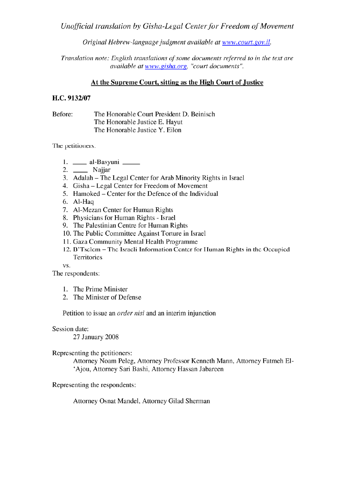Unofficial translation by Gisha-Legal Center for Freedom of Movement

Original Hebrew-language judgment available at www.court.gov.il.

Translation note: English translations of some documents referred to in the text are available at www.gisha.org, "court documents".

# At the Supreme Court, sitting as the High Court of Justice

# H.C. 9132/07

Before: The Honorable Court President D. Beinisch The Honorable Justice E. Hayut The Honorable Justice Y. Eilon

The petitioners:

- 1. \_\_\_\_\_ al-Basyuni \_\_\_\_\_
- 2. Najjar
- 3. Adalah The Legal Center for Arab Minority Rights in Israel
- 4. Gisha Legal Center for Freedom of Movement
- 5. Hamoked Center for the Defence of the Individual
- 6. Al-Haq
- 7. Al-Mezan Center for Human Rights
- 8. Physicians for Human Rights Israel
- 9. The Palestinian Centre for Human Rights
- 10. The Public Committee Against Torture in Israel
- 11. Gaza Community Mental Health Programme
- 12. B'Tselem The Israeli Information Center for Human Rights in the Occupied Territories

VS.

The respondents:

- 1. The Prime Minister
- 2. The Minister of Defense

Petition to issue an *order nisi* and an interim injunction

### Session date:

27 January 2008

Representing the petitioners:

Attorney Noam Peleg, Attorney Professor Kenneth Mann, Attorney Fatmeh El-'Ajou, Attorney Sari Bashi, Attorney Hassan Jabareen

Representing the respondents:

Attorney Osnat Mandel, Attorney Gilad Sherman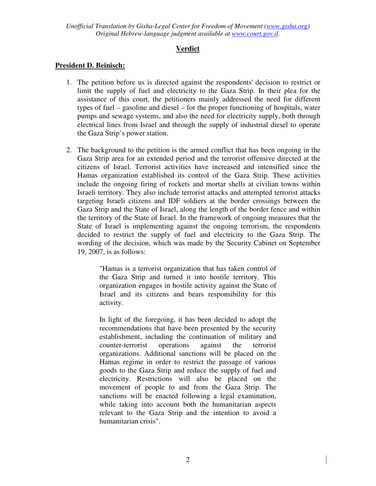# **Verdict**

# **President D. Beinisch:**

- 1. The petition before us is directed against the respondents' decision to restrict or limit the supply of fuel and electricity to the Gaza Strip. In their plea for the assistance of this court, the petitioners mainly addressed the need for different types of fuel – gasoline and diesel – for the proper functioning of hospitals, water pumps and sewage systems, and also the need for electricity supply, both through electrical lines from Israel and through the supply of industrial diesel to operate the Gaza Strip's power station.
- 2. The background to the petition is the armed conflict that has been ongoing in the Gaza Strip area for an extended period and the terrorist offensive directed at the citizens of Israel. Terrorist activities have increased and intensified since the Hamas organization established its control of the Gaza Strip. These activities include the ongoing firing of rockets and mortar shells at civilian towns within Israeli territory. They also include terrorist attacks and attempted terrorist attacks targeting Israeli citizens and IDF soldiers at the border crossings between the Gaza Strip and the State of Israel, along the length of the border fence and within the territory of the State of Israel. In the framework of ongoing measures that the State of Israel is implementing against the ongoing terrorism, the respondents decided to restrict the supply of fuel and electricity to the Gaza Strip. The wording of the decision, which was made by the Security Cabinet on September 19, 2007, is as follows:

"Hamas is a terrorist organization that has taken control of the Gaza Strip and turned it into hostile territory. This organization engages in hostile activity against the State of Israel and its citizens and bears responsibility for this activity.

In light of the foregoing, it has been decided to adopt the recommendations that have been presented by the security establishment, including the continuation of military and counter-terrorist operations against the terrorist organizations. Additional sanctions will be placed on the Hamas regime in order to restrict the passage of various goods to the Gaza Strip and reduce the supply of fuel and electricity. Restrictions will also be placed on the movement of people to and from the Gaza Strip. The sanctions will be enacted following a legal examination, while taking into account both the humanitarian aspects relevant to the Gaza Strip and the intention to avoid a humanitarian crisis".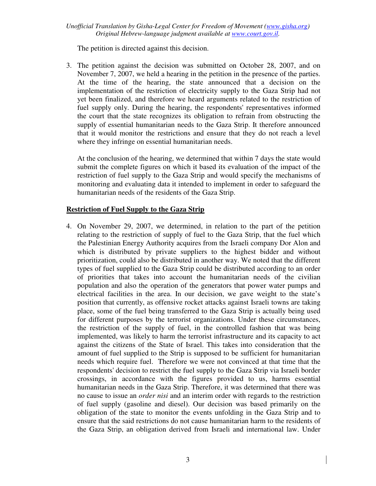The petition is directed against this decision.

3. The petition against the decision was submitted on October 28, 2007, and on November 7, 2007, we held a hearing in the petition in the presence of the parties. At the time of the hearing, the state announced that a decision on the implementation of the restriction of electricity supply to the Gaza Strip had not yet been finalized, and therefore we heard arguments related to the restriction of fuel supply only. During the hearing, the respondents' representatives informed the court that the state recognizes its obligation to refrain from obstructing the supply of essential humanitarian needs to the Gaza Strip. It therefore announced that it would monitor the restrictions and ensure that they do not reach a level where they infringe on essential humanitarian needs.

At the conclusion of the hearing, we determined that within 7 days the state would submit the complete figures on which it based its evaluation of the impact of the restriction of fuel supply to the Gaza Strip and would specify the mechanisms of monitoring and evaluating data it intended to implement in order to safeguard the humanitarian needs of the residents of the Gaza Strip.

# **Restriction of Fuel Supply to the Gaza Strip**

4. On November 29, 2007, we determined, in relation to the part of the petition relating to the restriction of supply of fuel to the Gaza Strip, that the fuel which the Palestinian Energy Authority acquires from the Israeli company Dor Alon and which is distributed by private suppliers to the highest bidder and without prioritization, could also be distributed in another way. We noted that the different types of fuel supplied to the Gaza Strip could be distributed according to an order of priorities that takes into account the humanitarian needs of the civilian population and also the operation of the generators that power water pumps and electrical facilities in the area. In our decision, we gave weight to the state's position that currently, as offensive rocket attacks against Israeli towns are taking place, some of the fuel being transferred to the Gaza Strip is actually being used for different purposes by the terrorist organizations. Under these circumstances, the restriction of the supply of fuel, in the controlled fashion that was being implemented, was likely to harm the terrorist infrastructure and its capacity to act against the citizens of the State of Israel. This takes into consideration that the amount of fuel supplied to the Strip is supposed to be sufficient for humanitarian needs which require fuel. Therefore we were not convinced at that time that the respondents' decision to restrict the fuel supply to the Gaza Strip via Israeli border crossings, in accordance with the figures provided to us, harms essential humanitarian needs in the Gaza Strip. Therefore, it was determined that there was no cause to issue an *order nisi* and an interim order with regards to the restriction of fuel supply (gasoline and diesel). Our decision was based primarily on the obligation of the state to monitor the events unfolding in the Gaza Strip and to ensure that the said restrictions do not cause humanitarian harm to the residents of the Gaza Strip, an obligation derived from Israeli and international law. Under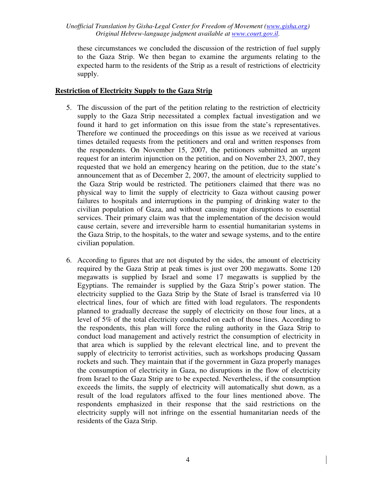these circumstances we concluded the discussion of the restriction of fuel supply to the Gaza Strip. We then began to examine the arguments relating to the expected harm to the residents of the Strip as a result of restrictions of electricity supply.

### **Restriction of Electricity Supply to the Gaza Strip**

- 5. The discussion of the part of the petition relating to the restriction of electricity supply to the Gaza Strip necessitated a complex factual investigation and we found it hard to get information on this issue from the state's representatives. Therefore we continued the proceedings on this issue as we received at various times detailed requests from the petitioners and oral and written responses from the respondents. On November 15, 2007, the petitioners submitted an urgent request for an interim injunction on the petition, and on November 23, 2007, they requested that we hold an emergency hearing on the petition, due to the state's announcement that as of December 2, 2007, the amount of electricity supplied to the Gaza Strip would be restricted. The petitioners claimed that there was no physical way to limit the supply of electricity to Gaza without causing power failures to hospitals and interruptions in the pumping of drinking water to the civilian population of Gaza, and without causing major disruptions to essential services. Their primary claim was that the implementation of the decision would cause certain, severe and irreversible harm to essential humanitarian systems in the Gaza Strip, to the hospitals, to the water and sewage systems, and to the entire civilian population.
- 6. According to figures that are not disputed by the sides, the amount of electricity required by the Gaza Strip at peak times is just over 200 megawatts. Some 120 megawatts is supplied by Israel and some 17 megawatts is supplied by the Egyptians. The remainder is supplied by the Gaza Strip's power station. The electricity supplied to the Gaza Strip by the State of Israel is transferred via 10 electrical lines, four of which are fitted with load regulators. The respondents planned to gradually decrease the supply of electricity on those four lines, at a level of 5% of the total electricity conducted on each of those lines. According to the respondents, this plan will force the ruling authority in the Gaza Strip to conduct load management and actively restrict the consumption of electricity in that area which is supplied by the relevant electrical line, and to prevent the supply of electricity to terrorist activities, such as workshops producing Qassam rockets and such. They maintain that if the government in Gaza properly manages the consumption of electricity in Gaza, no disruptions in the flow of electricity from Israel to the Gaza Strip are to be expected. Nevertheless, if the consumption exceeds the limits, the supply of electricity will automatically shut down, as a result of the load regulators affixed to the four lines mentioned above. The respondents emphasized in their response that the said restrictions on the electricity supply will not infringe on the essential humanitarian needs of the residents of the Gaza Strip.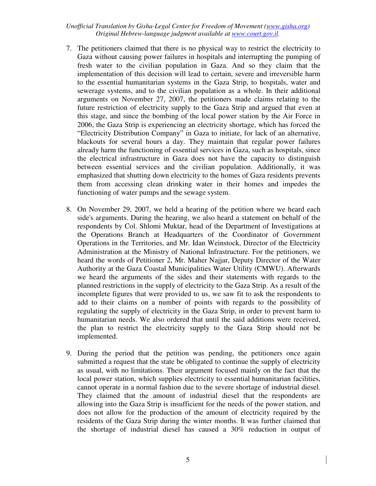- 7. The petitioners claimed that there is no physical way to restrict the electricity to Gaza without causing power failures in hospitals and interrupting the pumping of fresh water to the civilian population in Gaza. And so they claim that the implementation of this decision will lead to certain, severe and irreversible harm to the essential humanitarian systems in the Gaza Strip, to hospitals, water and sewerage systems, and to the civilian population as a whole. In their additional arguments on November 27, 2007, the petitioners made claims relating to the future restriction of electricity supply to the Gaza Strip and argued that even at this stage, and since the bombing of the local power station by the Air Force in 2006, the Gaza Strip is experiencing an electricity shortage, which has forced the "Electricity Distribution Company" in Gaza to initiate, for lack of an alternative, blackouts for several hours a day. They maintain that regular power failures already harm the functioning of essential services in Gaza, such as hospitals, since the electrical infrastructure in Gaza does not have the capacity to distinguish between essential services and the civilian population. Additionally, it was emphasized that shutting down electricity to the homes of Gaza residents prevents them from accessing clean drinking water in their homes and impedes the functioning of water pumps and the sewage system.
- 8. On November 29, 2007, we held a hearing of the petition where we heard each side's arguments. During the hearing, we also heard a statement on behalf of the respondents by Col. Shlomi Muktar, head of the Department of Investigations at the Operations Branch at Headquarters of the Coordinator of Government Operations in the Territories, and Mr. Idan Weinstock, Director of the Electricity Administration at the Ministry of National Infrastructure. For the petitioners, we heard the words of Petitioner 2, Mr. Maher Najjar, Deputy Director of the Water Authority at the Gaza Coastal Municipalities Water Utility (CMWU). Afterwards we heard the arguments of the sides and their statements with regards to the planned restrictions in the supply of electricity to the Gaza Strip. As a result of the incomplete figures that were provided to us, we saw fit to ask the respondents to add to their claims on a number of points with regards to the possibility of regulating the supply of electricity in the Gaza Strip, in order to prevent harm to humanitarian needs. We also ordered that until the said additions were received, the plan to restrict the electricity supply to the Gaza Strip should not be implemented.
- 9. During the period that the petition was pending, the petitioners once again submitted a request that the state be obligated to continue the supply of electricity as usual, with no limitations. Their argument focused mainly on the fact that the local power station, which supplies electricity to essential humanitarian facilities, cannot operate in a normal fashion due to the severe shortage of industrial diesel. They claimed that the amount of industrial diesel that the respondents are allowing into the Gaza Strip is insufficient for the needs of the power station, and does not allow for the production of the amount of electricity required by the residents of the Gaza Strip during the winter months. It was further claimed that the shortage of industrial diesel has caused a 30% reduction in output of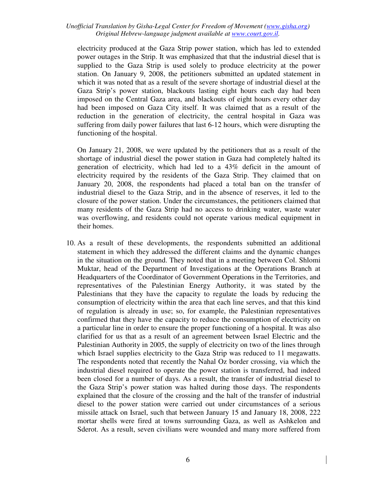electricity produced at the Gaza Strip power station, which has led to extended power outages in the Strip. It was emphasized that that the industrial diesel that is supplied to the Gaza Strip is used solely to produce electricity at the power station. On January 9, 2008, the petitioners submitted an updated statement in which it was noted that as a result of the severe shortage of industrial diesel at the Gaza Strip's power station, blackouts lasting eight hours each day had been imposed on the Central Gaza area, and blackouts of eight hours every other day had been imposed on Gaza City itself. It was claimed that as a result of the reduction in the generation of electricity, the central hospital in Gaza was suffering from daily power failures that last 6-12 hours, which were disrupting the functioning of the hospital.

On January 21, 2008, we were updated by the petitioners that as a result of the shortage of industrial diesel the power station in Gaza had completely halted its generation of electricity, which had led to a 43% deficit in the amount of electricity required by the residents of the Gaza Strip. They claimed that on January 20, 2008, the respondents had placed a total ban on the transfer of industrial diesel to the Gaza Strip, and in the absence of reserves, it led to the closure of the power station. Under the circumstances, the petitioners claimed that many residents of the Gaza Strip had no access to drinking water, waste water was overflowing, and residents could not operate various medical equipment in their homes.

10. As a result of these developments, the respondents submitted an additional statement in which they addressed the different claims and the dynamic changes in the situation on the ground. They noted that in a meeting between Col. Shlomi Muktar, head of the Department of Investigations at the Operations Branch at Headquarters of the Coordinator of Government Operations in the Territories, and representatives of the Palestinian Energy Authority, it was stated by the Palestinians that they have the capacity to regulate the loads by reducing the consumption of electricity within the area that each line serves, and that this kind of regulation is already in use; so, for example, the Palestinian representatives confirmed that they have the capacity to reduce the consumption of electricity on a particular line in order to ensure the proper functioning of a hospital. It was also clarified for us that as a result of an agreement between Israel Electric and the Palestinian Authority in 2005, the supply of electricity on two of the lines through which Israel supplies electricity to the Gaza Strip was reduced to 11 megawatts. The respondents noted that recently the Nahal Oz border crossing, via which the industrial diesel required to operate the power station is transferred, had indeed been closed for a number of days. As a result, the transfer of industrial diesel to the Gaza Strip's power station was halted during those days. The respondents explained that the closure of the crossing and the halt of the transfer of industrial diesel to the power station were carried out under circumstances of a serious missile attack on Israel, such that between January 15 and January 18, 2008, 222 mortar shells were fired at towns surrounding Gaza, as well as Ashkelon and Sderot. As a result, seven civilians were wounded and many more suffered from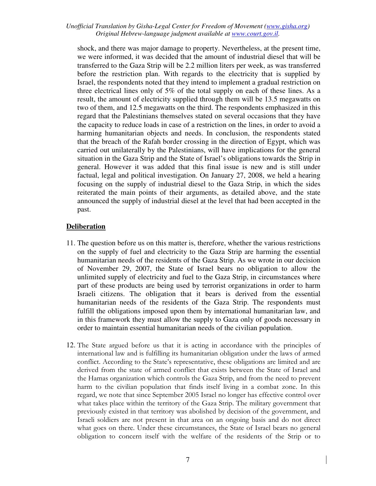shock, and there was major damage to property. Nevertheless, at the present time, we were informed, it was decided that the amount of industrial diesel that will be transferred to the Gaza Strip will be 2.2 million liters per week, as was transferred before the restriction plan. With regards to the electricity that is supplied by Israel, the respondents noted that they intend to implement a gradual restriction on three electrical lines only of 5% of the total supply on each of these lines. As a result, the amount of electricity supplied through them will be 13.5 megawatts on two of them, and 12.5 megawatts on the third. The respondents emphasized in this regard that the Palestinians themselves stated on several occasions that they have the capacity to reduce loads in case of a restriction on the lines, in order to avoid a harming humanitarian objects and needs. In conclusion, the respondents stated that the breach of the Rafah border crossing in the direction of Egypt, which was carried out unilaterally by the Palestinians, will have implications for the general situation in the Gaza Strip and the State of Israel's obligations towards the Strip in general. However it was added that this final issue is new and is still under factual, legal and political investigation. On January 27, 2008, we held a hearing focusing on the supply of industrial diesel to the Gaza Strip, in which the sides reiterated the main points of their arguments, as detailed above, and the state announced the supply of industrial diesel at the level that had been accepted in the past.

# **Deliberation**

- 11. The question before us on this matter is, therefore, whether the various restrictions on the supply of fuel and electricity to the Gaza Strip are harming the essential humanitarian needs of the residents of the Gaza Strip. As we wrote in our decision of November 29, 2007, the State of Israel bears no obligation to allow the unlimited supply of electricity and fuel to the Gaza Strip, in circumstances where part of these products are being used by terrorist organizations in order to harm Israeli citizens. The obligation that it bears is derived from the essential humanitarian needs of the residents of the Gaza Strip. The respondents must fulfill the obligations imposed upon them by international humanitarian law, and in this framework they must allow the supply to Gaza only of goods necessary in order to maintain essential humanitarian needs of the civilian population.
- 12. The State argued before us that it is acting in accordance with the principles of international law and is fulfilling its humanitarian obligation under the laws of armed conflict. According to the State's representative, these obligations are limited and are derived from the state of armed conflict that exists between the State of Israel and the Hamas organization which controls the Gaza Strip, and from the need to prevent harm to the civilian population that finds itself living in a combat zone. In this regard, we note that since September 2005 Israel no longer has effective control over what takes place within the territory of the Gaza Strip. The military government that previously existed in that territory was abolished by decision of the government, and Israeli soldiers are not present in that area on an ongoing basis and do not direct what goes on there. Under these circumstances, the State of Israel bears no general obligation to concern itself with the welfare of the residents of the Strip or to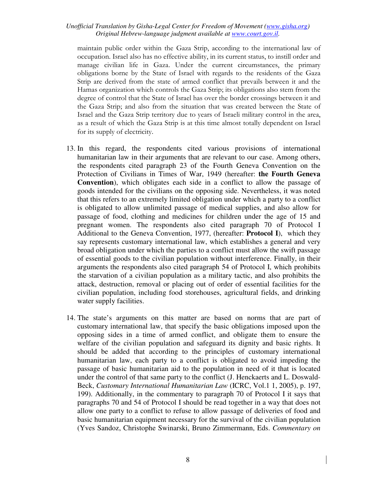maintain public order within the Gaza Strip, according to the international law of occupation. Israel also has no effective ability, in its current status, to instill order and manage civilian life in Gaza. Under the current circumstances, the primary obligations borne by the State of Israel with regards to the residents of the Gaza Strip are derived from the state of armed conflict that prevails between it and the Hamas organization which controls the Gaza Strip; its obligations also stem from the degree of control that the State of Israel has over the border crossings between it and the Gaza Strip; and also from the situation that was created between the State of Israel and the Gaza Strip territory due to years of Israeli military control in the area, as a result of which the Gaza Strip is at this time almost totally dependent on Israel for its supply of electricity.

- 13. In this regard, the respondents cited various provisions of international humanitarian law in their arguments that are relevant to our case. Among others, the respondents cited paragraph 23 of the Fourth Geneva Convention on the Protection of Civilians in Times of War, 1949 (hereafter: **the Fourth Geneva Convention**), which obligates each side in a conflict to allow the passage of goods intended for the civilians on the opposing side. Nevertheless, it was noted that this refers to an extremely limited obligation under which a party to a conflict is obligated to allow unlimited passage of medical supplies, and also allow for passage of food, clothing and medicines for children under the age of 15 and pregnant women. The respondents also cited paragraph 70 of Protocol I Additional to the Geneva Convention, 1977, (hereafter: **Protocol I**), which they say represents customary international law, which establishes a general and very broad obligation under which the parties to a conflict must allow the swift passage of essential goods to the civilian population without interference. Finally, in their arguments the respondents also cited paragraph 54 of Protocol I, which prohibits the starvation of a civilian population as a military tactic, and also prohibits the attack, destruction, removal or placing out of order of essential facilities for the civilian population, including food storehouses, agricultural fields, and drinking water supply facilities.
- 14. The state's arguments on this matter are based on norms that are part of customary international law, that specify the basic obligations imposed upon the opposing sides in a time of armed conflict, and obligate them to ensure the welfare of the civilian population and safeguard its dignity and basic rights. It should be added that according to the principles of customary international humanitarian law, each party to a conflict is obligated to avoid impeding the passage of basic humanitarian aid to the population in need of it that is located under the control of that same party to the conflict (J. Henckaerts and L. Doswald-Beck, *Customary International Humanitarian Law* (ICRC, Vol.1 1, 2005), p. 197, 199). Additionally, in the commentary to paragraph 70 of Protocol I it says that paragraphs 70 and 54 of Protocol I should be read together in a way that does not allow one party to a conflict to refuse to allow passage of deliveries of food and basic humanitarian equipment necessary for the survival of the civilian population (Yves Sandoz, Christophe Swinarski, Bruno Zimmermann, Eds. *Commentary on*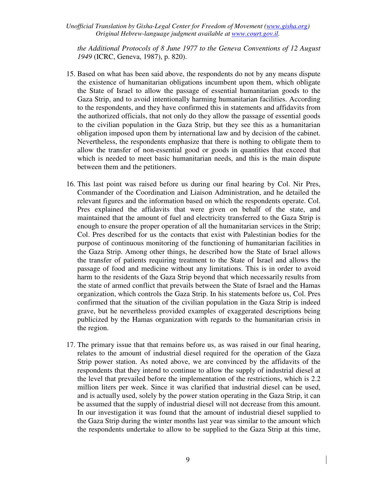*the Additional Protocols of 8 June 1977 to the Geneva Conventions of 12 August 1949* (ICRC, Geneva, 1987), p. 820).

- 15. Based on what has been said above, the respondents do not by any means dispute the existence of humanitarian obligations incumbent upon them, which obligate the State of Israel to allow the passage of essential humanitarian goods to the Gaza Strip, and to avoid intentionally harming humanitarian facilities. According to the respondents, and they have confirmed this in statements and affidavits from the authorized officials, that not only do they allow the passage of essential goods to the civilian population in the Gaza Strip, but they see this as a humanitarian obligation imposed upon them by international law and by decision of the cabinet. Nevertheless, the respondents emphasize that there is nothing to obligate them to allow the transfer of non-essential good or goods in quantities that exceed that which is needed to meet basic humanitarian needs, and this is the main dispute between them and the petitioners.
- 16. This last point was raised before us during our final hearing by Col. Nir Pres, Commander of the Coordination and Liaison Administration, and he detailed the relevant figures and the information based on which the respondents operate. Col. Pres explained the affidavits that were given on behalf of the state, and maintained that the amount of fuel and electricity transferred to the Gaza Strip is enough to ensure the proper operation of all the humanitarian services in the Strip; Col. Pres described for us the contacts that exist with Palestinian bodies for the purpose of continuous monitoring of the functioning of humanitarian facilities in the Gaza Strip. Among other things, he described how the State of Israel allows the transfer of patients requiring treatment to the State of Israel and allows the passage of food and medicine without any limitations. This is in order to avoid harm to the residents of the Gaza Strip beyond that which necessarily results from the state of armed conflict that prevails between the State of Israel and the Hamas organization, which controls the Gaza Strip. In his statements before us, Col. Pres confirmed that the situation of the civilian population in the Gaza Strip is indeed grave, but he nevertheless provided examples of exaggerated descriptions being publicized by the Hamas organization with regards to the humanitarian crisis in the region.
- 17. The primary issue that that remains before us, as was raised in our final hearing, relates to the amount of industrial diesel required for the operation of the Gaza Strip power station. As noted above, we are convinced by the affidavits of the respondents that they intend to continue to allow the supply of industrial diesel at the level that prevailed before the implementation of the restrictions, which is 2.2 million liters per week. Since it was clarified that industrial diesel can be used, and is actually used, solely by the power station operating in the Gaza Strip, it can be assumed that the supply of industrial diesel will not decrease from this amount. In our investigation it was found that the amount of industrial diesel supplied to the Gaza Strip during the winter months last year was similar to the amount which the respondents undertake to allow to be supplied to the Gaza Strip at this time,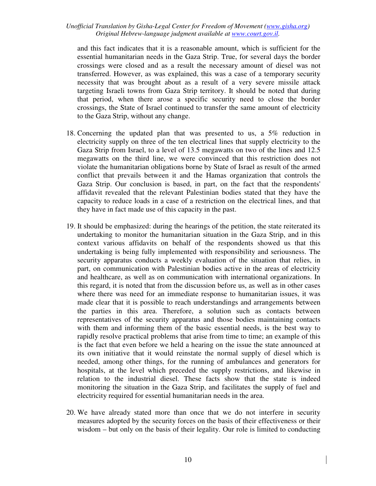and this fact indicates that it is a reasonable amount, which is sufficient for the essential humanitarian needs in the Gaza Strip. True, for several days the border crossings were closed and as a result the necessary amount of diesel was not transferred. However, as was explained, this was a case of a temporary security necessity that was brought about as a result of a very severe missile attack targeting Israeli towns from Gaza Strip territory. It should be noted that during that period, when there arose a specific security need to close the border crossings, the State of Israel continued to transfer the same amount of electricity to the Gaza Strip, without any change.

- 18. Concerning the updated plan that was presented to us, a 5% reduction in electricity supply on three of the ten electrical lines that supply electricity to the Gaza Strip from Israel, to a level of 13.5 megawatts on two of the lines and 12.5 megawatts on the third line, we were convinced that this restriction does not violate the humanitarian obligations borne by State of Israel as result of the armed conflict that prevails between it and the Hamas organization that controls the Gaza Strip. Our conclusion is based, in part, on the fact that the respondents' affidavit revealed that the relevant Palestinian bodies stated that they have the capacity to reduce loads in a case of a restriction on the electrical lines, and that they have in fact made use of this capacity in the past.
- 19. It should be emphasized: during the hearings of the petition, the state reiterated its undertaking to monitor the humanitarian situation in the Gaza Strip, and in this context various affidavits on behalf of the respondents showed us that this undertaking is being fully implemented with responsibility and seriousness. The security apparatus conducts a weekly evaluation of the situation that relies, in part, on communication with Palestinian bodies active in the areas of electricity and healthcare, as well as on communication with international organizations. In this regard, it is noted that from the discussion before us, as well as in other cases where there was need for an immediate response to humanitarian issues, it was made clear that it is possible to reach understandings and arrangements between the parties in this area. Therefore, a solution such as contacts between representatives of the security apparatus and those bodies maintaining contacts with them and informing them of the basic essential needs, is the best way to rapidly resolve practical problems that arise from time to time; an example of this is the fact that even before we held a hearing on the issue the state announced at its own initiative that it would reinstate the normal supply of diesel which is needed, among other things, for the running of ambulances and generators for hospitals, at the level which preceded the supply restrictions, and likewise in relation to the industrial diesel. These facts show that the state is indeed monitoring the situation in the Gaza Strip, and facilitates the supply of fuel and electricity required for essential humanitarian needs in the area.
- 20. We have already stated more than once that we do not interfere in security measures adopted by the security forces on the basis of their effectiveness or their wisdom – but only on the basis of their legality. Our role is limited to conducting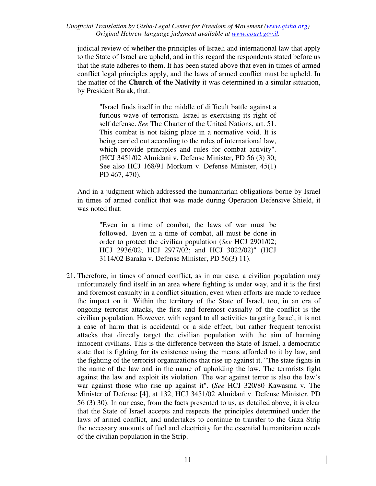judicial review of whether the principles of Israeli and international law that apply to the State of Israel are upheld, and in this regard the respondents stated before us that the state adheres to them. It has been stated above that even in times of armed conflict legal principles apply, and the laws of armed conflict must be upheld. In the matter of the **Church of the Nativity** it was determined in a similar situation, by President Barak, that:

"Israel finds itself in the middle of difficult battle against a furious wave of terrorism. Israel is exercising its right of self defense. *See* The Charter of the United Nations, art. 51. This combat is not taking place in a normative void. It is being carried out according to the rules of international law, which provide principles and rules for combat activity". (HCJ 3451/02 Almidani v. Defense Minister, PD 56 (3) 30; See also HCJ 168/91 Morkum v. Defense Minister, 45(1) PD 467, 470).

And in a judgment which addressed the humanitarian obligations borne by Israel in times of armed conflict that was made during Operation Defensive Shield, it was noted that:

"Even in a time of combat, the laws of war must be followed. Even in a time of combat, all must be done in order to protect the civilian population (*See* HCJ 2901/02; HCJ 2936/02; HCJ 2977/02; and HCJ 3022/02)" (HCJ 3114/02 Baraka v. Defense Minister, PD 56(3) 11).

21. Therefore, in times of armed conflict, as in our case, a civilian population may unfortunately find itself in an area where fighting is under way, and it is the first and foremost casualty in a conflict situation, even when efforts are made to reduce the impact on it. Within the territory of the State of Israel, too, in an era of ongoing terrorist attacks, the first and foremost casualty of the conflict is the civilian population. However, with regard to all activities targeting Israel, it is not a case of harm that is accidental or a side effect, but rather frequent terrorist attacks that directly target the civilian population with the aim of harming innocent civilians. This is the difference between the State of Israel, a democratic state that is fighting for its existence using the means afforded to it by law, and the fighting of the terrorist organizations that rise up against it. "The state fights in the name of the law and in the name of upholding the law. The terrorists fight against the law and exploit its violation. The war against terror is also the law's war against those who rise up against it". (*See* HCJ 320/80 Kawasma v. The Minister of Defense [4], at 132, HCJ 3451/02 Almidani v. Defense Minister, PD 56 (3) 30). In our case, from the facts presented to us, as detailed above, it is clear that the State of Israel accepts and respects the principles determined under the laws of armed conflict, and undertakes to continue to transfer to the Gaza Strip the necessary amounts of fuel and electricity for the essential humanitarian needs of the civilian population in the Strip.